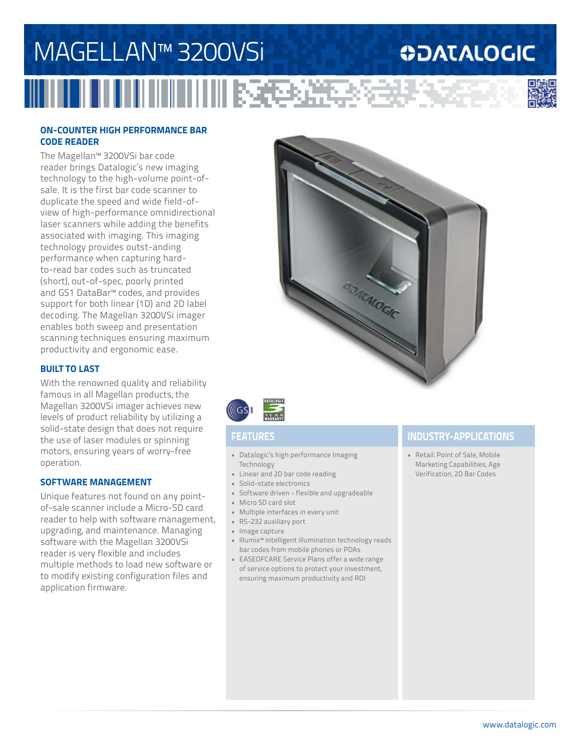## MAGELLAN™ 3200VSi **ODATALOGIC THE REAL PROPERTY**

### **ON-COUNTER HIGH PERFORMANCE BAR CODE READER**

The Magellan™ 3200VSi bar code reader brings Datalogic's new imaging technology to the high-volume point-ofsale. It is the first bar code scanner to duplicate the speed and wide field-ofview of high-performance omnidirectional laser scanners while adding the benefits associated with imaging. This imaging technology provides outst-anding performance when capturing hardto-read bar codes such as truncated (short), out-of-spec, poorly printed and GS1 DataBar™ codes, and provides support for both linear (1D) and 2D label decoding. The Magellan 3200VSi imager enables both sweep and presentation scanning techniques ensuring maximum productivity and ergonomic ease.

#### **BUILT TO LAST**

With the renowned quality and reliability famous in all Magellan products, the Magellan 3200VSi imager achieves new levels of product reliability by utilizing a solid-state design that does not require the use of laser modules or spinning motors, ensuring years of worry-free operation.

### **SOFTWARE MANAGEMENT**

Unique features not found on any pointof-sale scanner include a Micro-SD card reader to help with software management, upgrading, and maintenance. Managing software with the Magellan 3200VSi reader is very flexible and includes multiple methods to load new software or to modify existing configuration files and application firmware.





- Datalogic's high performance Imaging Technology
- Linear and 2D bar code reading
- Solid-state electronics
- Software driven flexible and upgradeable
- Micro SD card slot
- Multiple interfaces in every unit
- RS-232 auxiliary port
- Image capture
- Illumix™ intelligent illumination technology reads bar codes from mobile phones or PDAs
- EASEOFCARE Service Plans offer a wide range of service options to protect your investment, ensuring maximum productivity and ROI

### **FEATURES INDUSTRY-APPLICATIONS**

• Retail: Point of Sale, Mobile Marketing Capabilities, Age Verification, 2D Bar Codes